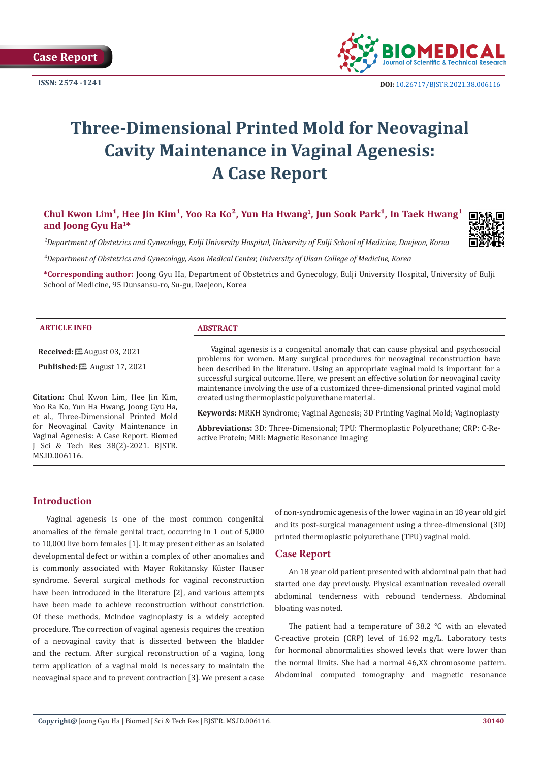**Case Report**

**ISSN: 2574 -1241**



 **DOI:** [10.26717/BJSTR.2021.38.006116](https://dx.doi.org/10.26717/BJSTR.2021.38.006116)

# **Three-Dimensional Printed Mold for Neovaginal Cavity Maintenance in Vaginal Agenesis: A Case Report**

Chul Kwon Lim<sup>1</sup>, Hee Jin Kim<sup>1</sup>, Yoo Ra Ko<sup>2</sup>, Yun Ha Hwang<sup>1</sup>, Jun Sook Park<sup>1</sup>, In Taek Hwang<sup>1</sup> **and Joong Gyu Ha1\***

<sup>1</sup>Department of Obstetrics and Gynecology, Eulji University Hospital, University of Eulji School of Medicine, Daejeon, Korea

*²Department of Obstetrics and Gynecology, Asan Medical Center, University of Ulsan College of Medicine, Korea*

**\*Corresponding author:** Joong Gyu Ha, Department of Obstetrics and Gynecology, Eulji University Hospital, University of Eulji School of Medicine, 95 Dunsansu-ro, Su-gu, Daejeon, Korea

#### **ARTICLE INFO ABSTRACT**

**Received:** ■ August 03, 2021

**Published:** ■ August 17, 2021

**Citation:** Chul Kwon Lim, Hee Jin Kim, Yoo Ra Ko, Yun Ha Hwang, Joong Gyu Ha, et al., Three-Dimensional Printed Mold for Neovaginal Cavity Maintenance in Vaginal Agenesis: A Case Report. Biomed J Sci & Tech Res 38(2)-2021. BJSTR. MS.ID.006116.

Vaginal agenesis is a congenital anomaly that can cause physical and psychosocial problems for women. Many surgical procedures for neovaginal reconstruction have been described in the literature. Using an appropriate vaginal mold is important for a successful surgical outcome. Here, we present an effective solution for neovaginal cavity maintenance involving the use of a customized three-dimensional printed vaginal mold created using thermoplastic polyurethane material.

**Keywords:** MRKH Syndrome; Vaginal Agenesis; 3D Printing Vaginal Mold; Vaginoplasty

**Abbreviations:** 3D: Three-Dimensional; TPU: Thermoplastic Polyurethane; CRP: C-Reactive Protein; MRI: Magnetic Resonance Imaging

# **Introduction**

Vaginal agenesis is one of the most common congenital anomalies of the female genital tract, occurring in 1 out of 5,000 to 10,000 live born females [1]. It may present either as an isolated developmental defect or within a complex of other anomalies and is commonly associated with Mayer Rokitansky Küster Hauser syndrome. Several surgical methods for vaginal reconstruction have been introduced in the literature [2], and various attempts have been made to achieve reconstruction without constriction. Of these methods, McIndoe vaginoplasty is a widely accepted procedure. The correction of vaginal agenesis requires the creation of a neovaginal cavity that is dissected between the bladder and the rectum. After surgical reconstruction of a vagina, long term application of a vaginal mold is necessary to maintain the neovaginal space and to prevent contraction [3]. We present a case

of non-syndromic agenesis of the lower vagina in an 18 year old girl and its post-surgical management using a three-dimensional (3D) printed thermoplastic polyurethane (TPU) vaginal mold.

# **Case Report**

An 18 year old patient presented with abdominal pain that had started one day previously. Physical examination revealed overall abdominal tenderness with rebound tenderness. Abdominal bloating was noted.

The patient had a temperature of 38.2 ℃ with an elevated C-reactive protein (CRP) level of 16.92 mg/L. Laboratory tests for hormonal abnormalities showed levels that were lower than the normal limits. She had a normal 46,XX chromosome pattern. Abdominal computed tomography and magnetic resonance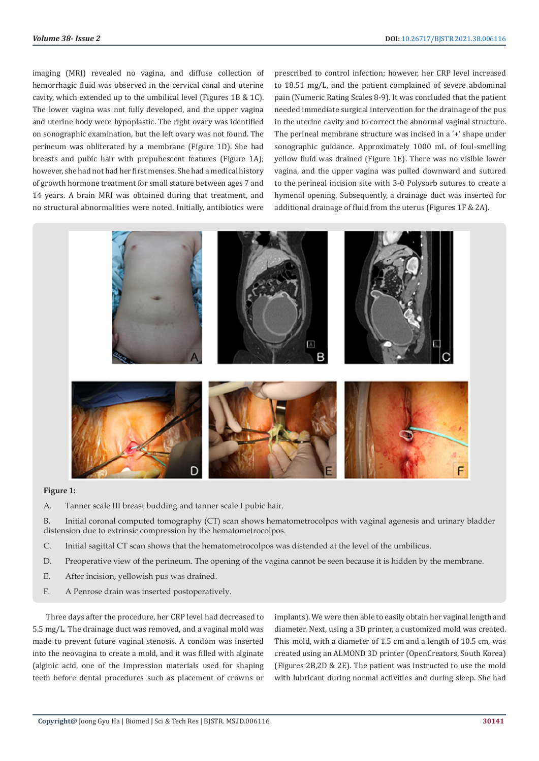imaging (MRI) revealed no vagina, and diffuse collection of hemorrhagic fluid was observed in the cervical canal and uterine cavity, which extended up to the umbilical level (Figures 1B & 1C). The lower vagina was not fully developed, and the upper vagina and uterine body were hypoplastic. The right ovary was identified on sonographic examination, but the left ovary was not found. The perineum was obliterated by a membrane (Figure 1D). She had breasts and pubic hair with prepubescent features (Figure 1A); however, she had not had her first menses. She had a medical history of growth hormone treatment for small stature between ages 7 and 14 years. A brain MRI was obtained during that treatment, and no structural abnormalities were noted. Initially, antibiotics were prescribed to control infection; however, her CRP level increased to 18.51 mg/L, and the patient complained of severe abdominal pain (Numeric Rating Scales 8-9). It was concluded that the patient needed immediate surgical intervention for the drainage of the pus in the uterine cavity and to correct the abnormal vaginal structure. The perineal membrane structure was incised in a '+' shape under sonographic guidance. Approximately 1000 mL of foul-smelling yellow fluid was drained (Figure 1E). There was no visible lower vagina, and the upper vagina was pulled downward and sutured to the perineal incision site with 3-0 Polysorb sutures to create a hymenal opening. Subsequently, a drainage duct was inserted for additional drainage of fluid from the uterus (Figures 1F & 2A).



### **Figure 1:**

A. Tanner scale III breast budding and tanner scale I pubic hair.

B. Initial coronal computed tomography (CT) scan shows hematometrocolpos with vaginal agenesis and urinary bladder distension due to extrinsic compression by the hematometrocolpos.

- C. Initial sagittal CT scan shows that the hematometrocolpos was distended at the level of the umbilicus.
- D. Preoperative view of the perineum. The opening of the vagina cannot be seen because it is hidden by the membrane.
- E. After incision, yellowish pus was drained.
- F. A Penrose drain was inserted postoperatively.

Three days after the procedure, her CRP level had decreased to 5.5 mg/L. The drainage duct was removed, and a vaginal mold was made to prevent future vaginal stenosis. A condom was inserted into the neovagina to create a mold, and it was filled with alginate (alginic acid, one of the impression materials used for shaping teeth before dental procedures such as placement of crowns or implants). We were then able to easily obtain her vaginal length and diameter. Next, using a 3D printer, a customized mold was created. This mold, with a diameter of 1.5 cm and a length of 10.5 cm, was created using an ALMOND 3D printer (OpenCreators, South Korea) (Figures 2B,2D & 2E). The patient was instructed to use the mold with lubricant during normal activities and during sleep. She had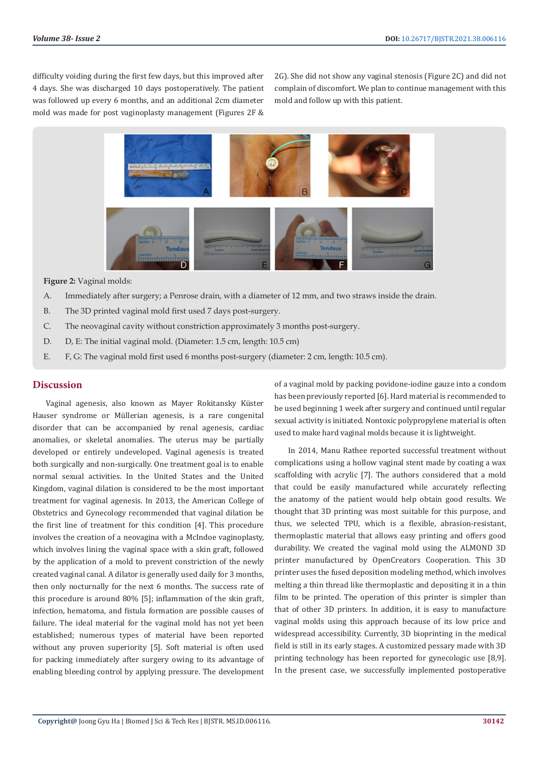difficulty voiding during the first few days, but this improved after 4 days. She was discharged 10 days postoperatively. The patient was followed up every 6 months, and an additional 2cm diameter mold was made for post vaginoplasty management (Figures 2F &

2G). She did not show any vaginal stenosis (Figure 2C) and did not complain of discomfort. We plan to continue management with this mold and follow up with this patient.



#### **Figure 2:** Vaginal molds:

- A. Immediately after surgery; a Penrose drain, with a diameter of 12 mm, and two straws inside the drain.
- B. The 3D printed vaginal mold first used 7 days post-surgery.
- C. The neovaginal cavity without constriction approximately 3 months post-surgery.
- D. D, E: The initial vaginal mold. (Diameter: 1.5 cm, length: 10.5 cm)
- E. F, G: The vaginal mold first used 6 months post-surgery (diameter: 2 cm, length: 10.5 cm).

# **Discussion**

Vaginal agenesis, also known as Mayer Rokitansky Küster Hauser syndrome or Müllerian agenesis, is a rare congenital disorder that can be accompanied by renal agenesis, cardiac anomalies, or skeletal anomalies. The uterus may be partially developed or entirely undeveloped. Vaginal agenesis is treated both surgically and non-surgically. One treatment goal is to enable normal sexual activities. In the United States and the United Kingdom, vaginal dilation is considered to be the most important treatment for vaginal agenesis. In 2013, the American College of Obstetrics and Gynecology recommended that vaginal dilation be the first line of treatment for this condition [4]. This procedure involves the creation of a neovagina with a McIndoe vaginoplasty, which involves lining the vaginal space with a skin graft, followed by the application of a mold to prevent constriction of the newly created vaginal canal. A dilator is generally used daily for 3 months, then only nocturnally for the next 6 months. The success rate of this procedure is around 80% [5]; inflammation of the skin graft, infection, hematoma, and fistula formation are possible causes of failure. The ideal material for the vaginal mold has not yet been established; numerous types of material have been reported without any proven superiority [5]. Soft material is often used for packing immediately after surgery owing to its advantage of enabling bleeding control by applying pressure. The development

of a vaginal mold by packing povidone-iodine gauze into a condom has been previously reported [6]. Hard material is recommended to be used beginning 1 week after surgery and continued until regular sexual activity is initiated. Nontoxic polypropylene material is often used to make hard vaginal molds because it is lightweight.

In 2014, Manu Rathee reported successful treatment without complications using a hollow vaginal stent made by coating a wax scaffolding with acrylic [7]. The authors considered that a mold that could be easily manufactured while accurately reflecting the anatomy of the patient would help obtain good results. We thought that 3D printing was most suitable for this purpose, and thus, we selected TPU, which is a flexible, abrasion-resistant, thermoplastic material that allows easy printing and offers good durability. We created the vaginal mold using the ALMOND 3D printer manufactured by OpenCreators Cooperation. This 3D printer uses the fused deposition modeling method, which involves melting a thin thread like thermoplastic and depositing it in a thin film to be printed. The operation of this printer is simpler than that of other 3D printers. In addition, it is easy to manufacture vaginal molds using this approach because of its low price and widespread accessibility. Currently, 3D bioprinting in the medical field is still in its early stages. A customized pessary made with 3D printing technology has been reported for gynecologic use [8,9]. In the present case, we successfully implemented postoperative